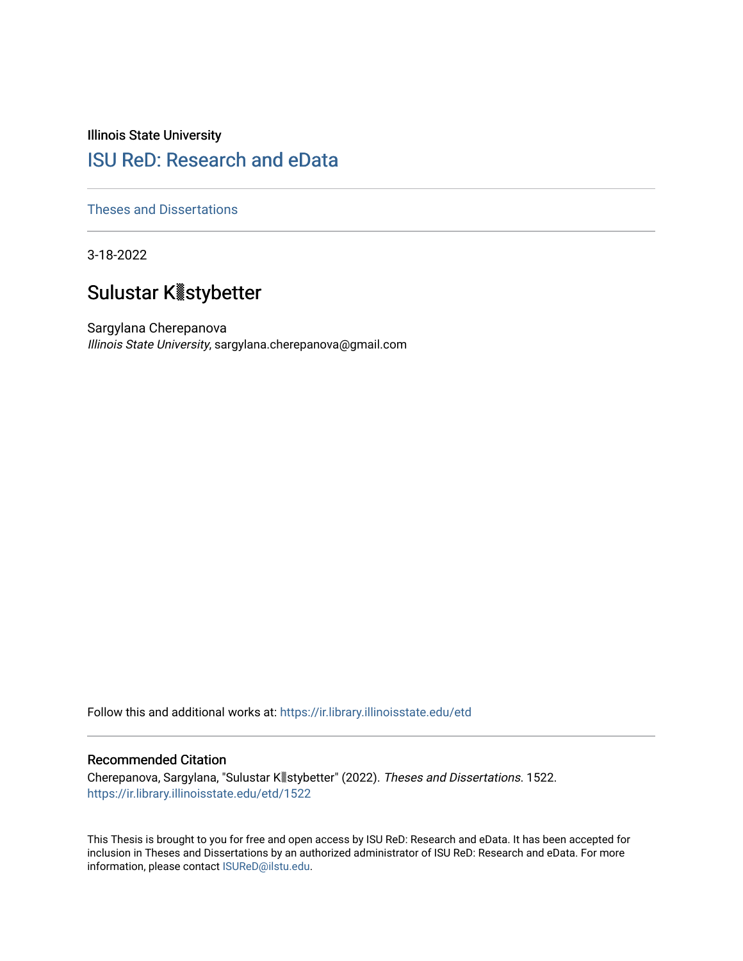Illinois State University

# [ISU ReD: Research and eData](https://ir.library.illinoisstate.edu/)

[Theses and Dissertations](https://ir.library.illinoisstate.edu/etd)

3-18-2022

# Sulustar Kꭢstybetter

Sargylana Cherepanova Illinois State University, sargylana.cherepanova@gmail.com

Follow this and additional works at: [https://ir.library.illinoisstate.edu/etd](https://ir.library.illinoisstate.edu/etd?utm_source=ir.library.illinoisstate.edu%2Fetd%2F1522&utm_medium=PDF&utm_campaign=PDFCoverPages) 

### Recommended Citation

Cherepanova, Sargylana, "Sulustar Kꭢstybetter" (2022). Theses and Dissertations. 1522. [https://ir.library.illinoisstate.edu/etd/1522](https://ir.library.illinoisstate.edu/etd/1522?utm_source=ir.library.illinoisstate.edu%2Fetd%2F1522&utm_medium=PDF&utm_campaign=PDFCoverPages) 

This Thesis is brought to you for free and open access by ISU ReD: Research and eData. It has been accepted for inclusion in Theses and Dissertations by an authorized administrator of ISU ReD: Research and eData. For more information, please contact [ISUReD@ilstu.edu.](mailto:ISUReD@ilstu.edu)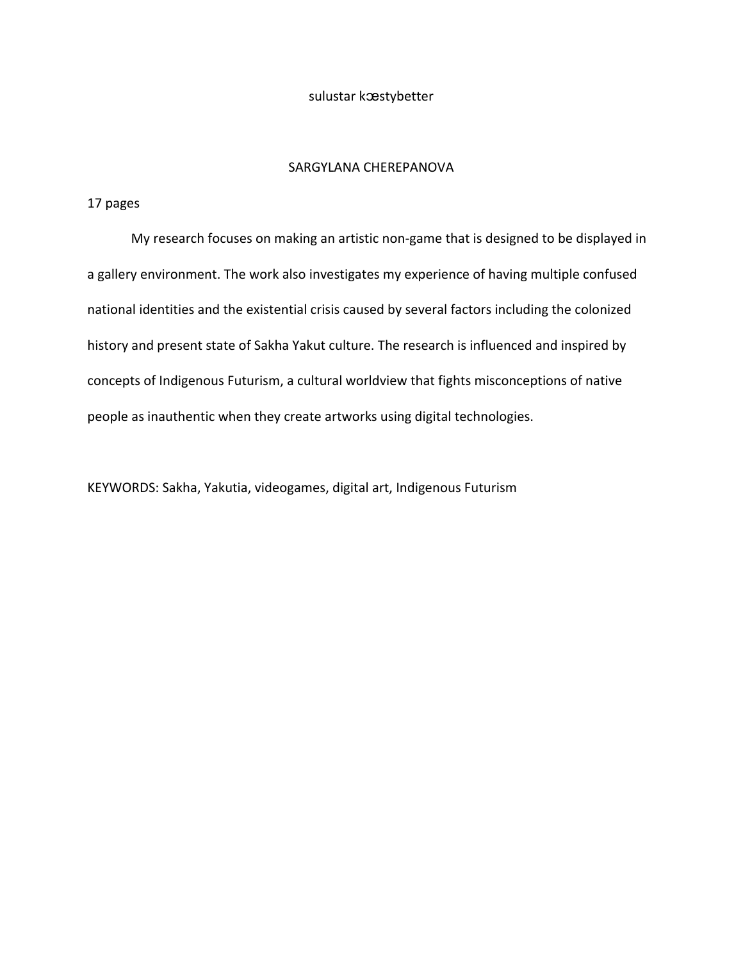### sulustar kæstybetter

# SARGYLANA CHEREPANOVA

## 17 pages

My research focuses on making an artistic non-game that is designed to be displayed in a gallery environment. The work also investigates my experience of having multiple confused national identities and the existential crisis caused by several factors including the colonized history and present state of Sakha Yakut culture. The research is influenced and inspired by concepts of Indigenous Futurism, a cultural worldview that fights misconceptions of native people as inauthentic when they create artworks using digital technologies.

KEYWORDS: Sakha, Yakutia, videogames, digital art, Indigenous Futurism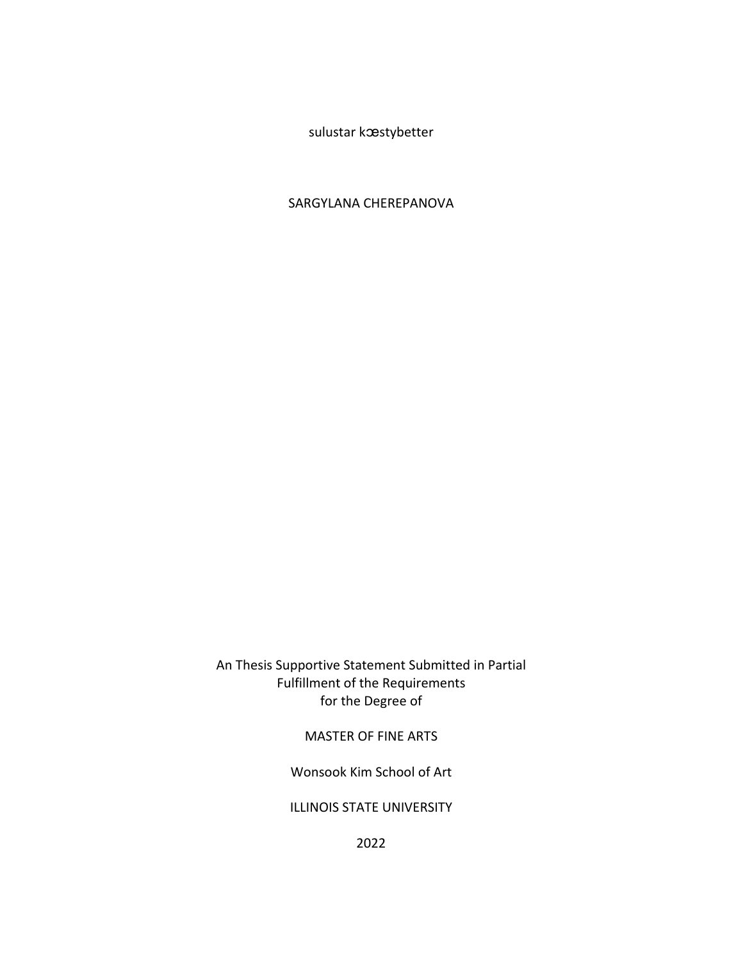sulustar kæstybetter

# SARGYLANA CHEREPANOVA

An Thesis Supportive Statement Submitted in Partial Fulfillment of the Requirements for the Degree of

# MASTER OF FINE ARTS

Wonsook Kim School of Art

ILLINOIS STATE UNIVERSITY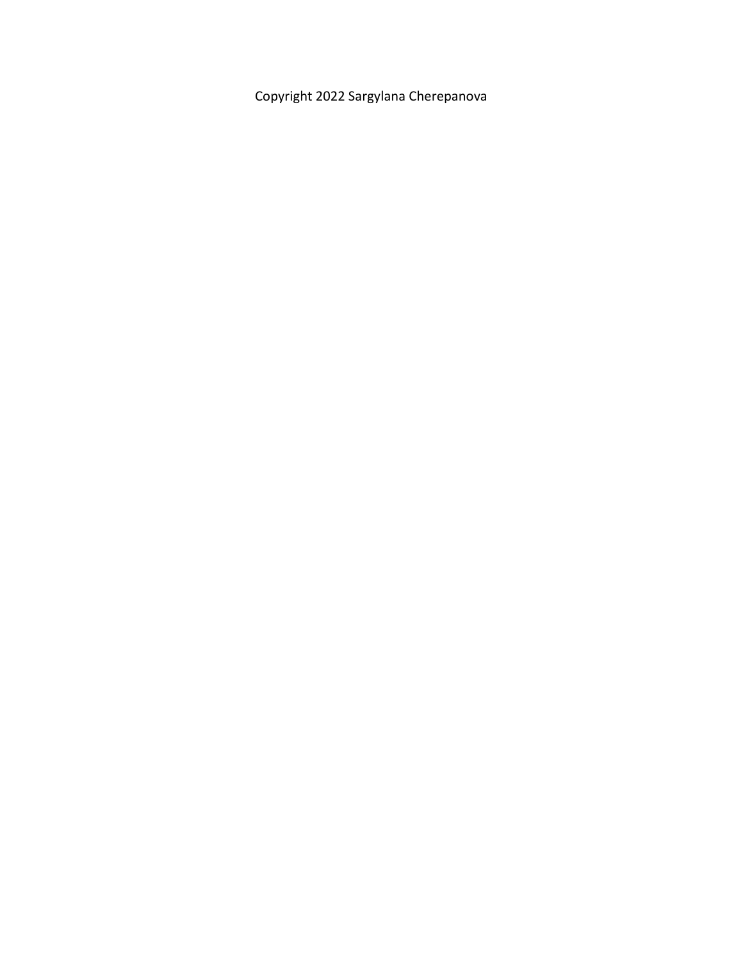Copyright 2022 Sargylana Cherepanova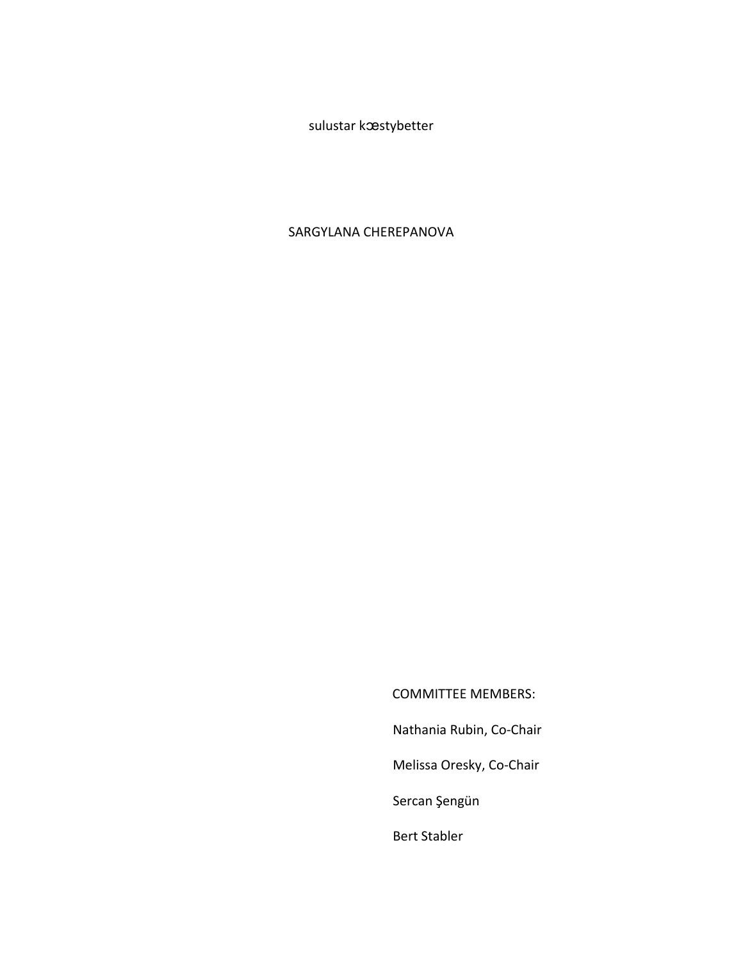sulustar kæstybetter

# SARGYLANA CHEREPANOVA

COMMITTEE MEMBERS: Nathania Rubin, Co-Chair Melissa Oresky, Co-Chair Sercan Şengün

Bert Stabler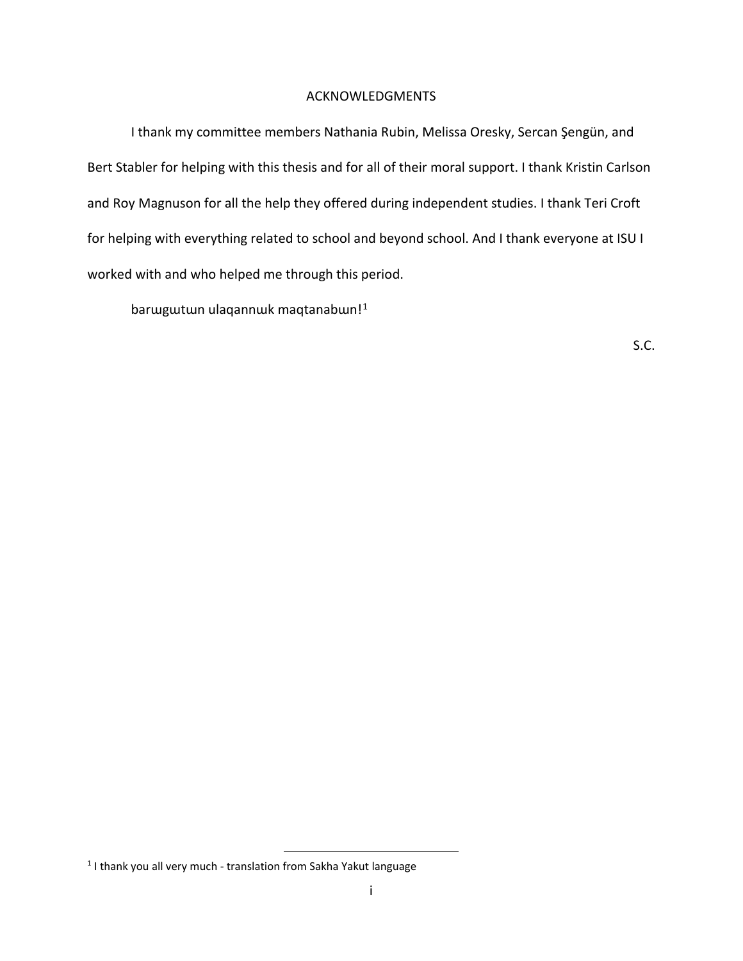### ACKNOWLEDGMENTS

<span id="page-5-1"></span>I thank my committee members Nathania Rubin, Melissa Oresky, Sercan Şengün, and Bert Stabler for helping with this thesis and for all of their moral support. I thank Kristin Carlson and Roy Magnuson for all the help they offered during independent studies. I thank Teri Croft for helping with everything related to school and beyond school. And I thank everyone at ISU I worked with and who helped me through this period.

barwgwtwn ulaqannwk maqtanabwn!<sup>[1](#page-5-0)</sup>

S.C.

<span id="page-5-0"></span><sup>&</sup>lt;sup>1</sup> I thank you all very much - translation from Sakha Yakut language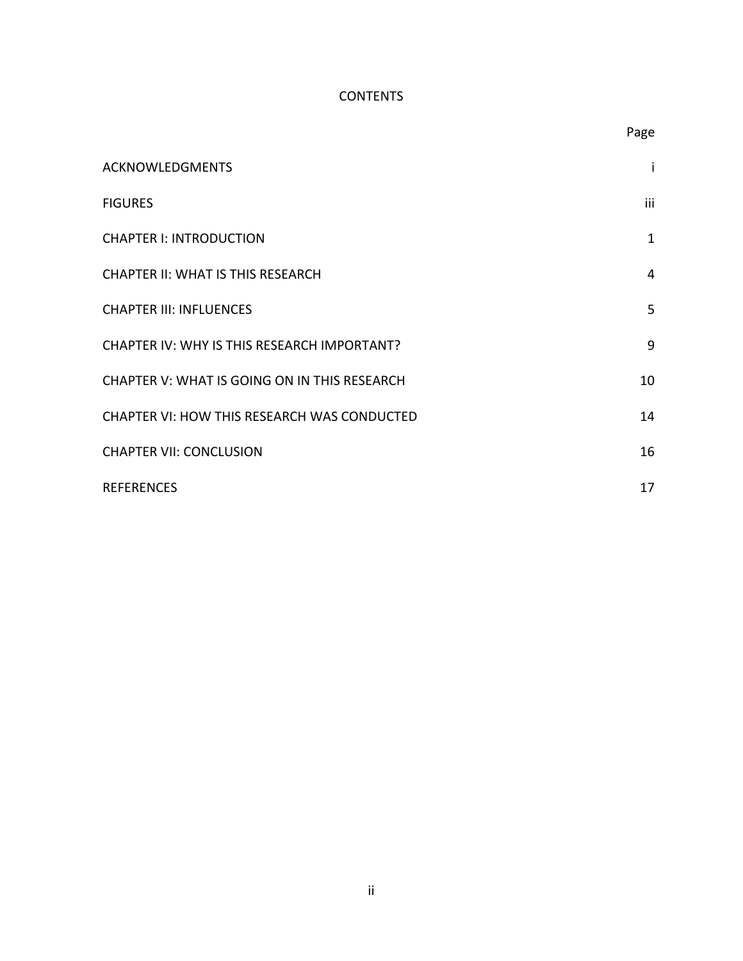# **CONTENTS**

|                                              | Page         |
|----------------------------------------------|--------------|
| <b>ACKNOWLEDGMENTS</b>                       | Ť            |
| <b>FIGURES</b>                               | iii          |
| <b>CHAPTER I: INTRODUCTION</b>               | $\mathbf{1}$ |
| <b>CHAPTER II: WHAT IS THIS RESEARCH</b>     | 4            |
| <b>CHAPTER III: INFLUENCES</b>               | 5            |
| CHAPTER IV: WHY IS THIS RESEARCH IMPORTANT?  | 9            |
| CHAPTER V: WHAT IS GOING ON IN THIS RESEARCH | 10           |
| CHAPTER VI: HOW THIS RESEARCH WAS CONDUCTED  | 14           |
| <b>CHAPTER VII: CONCLUSION</b>               | 16           |
| <b>REFERENCES</b>                            | 17           |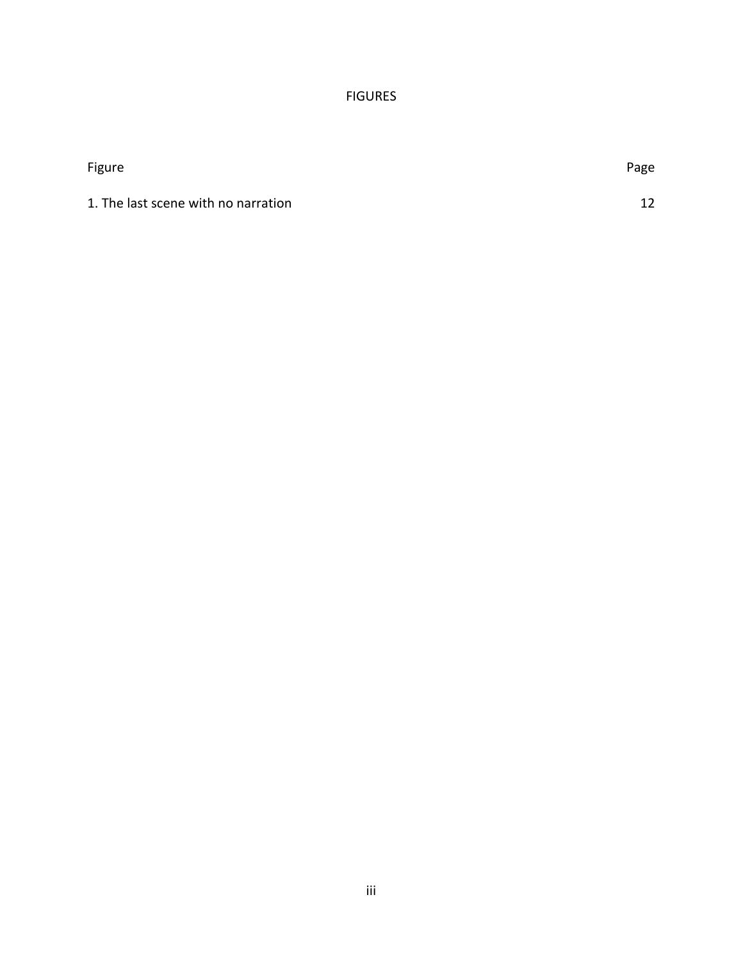# FIGURES

<span id="page-7-0"></span>

| Figure                              | Page |
|-------------------------------------|------|
| 1. The last scene with no narration | 12   |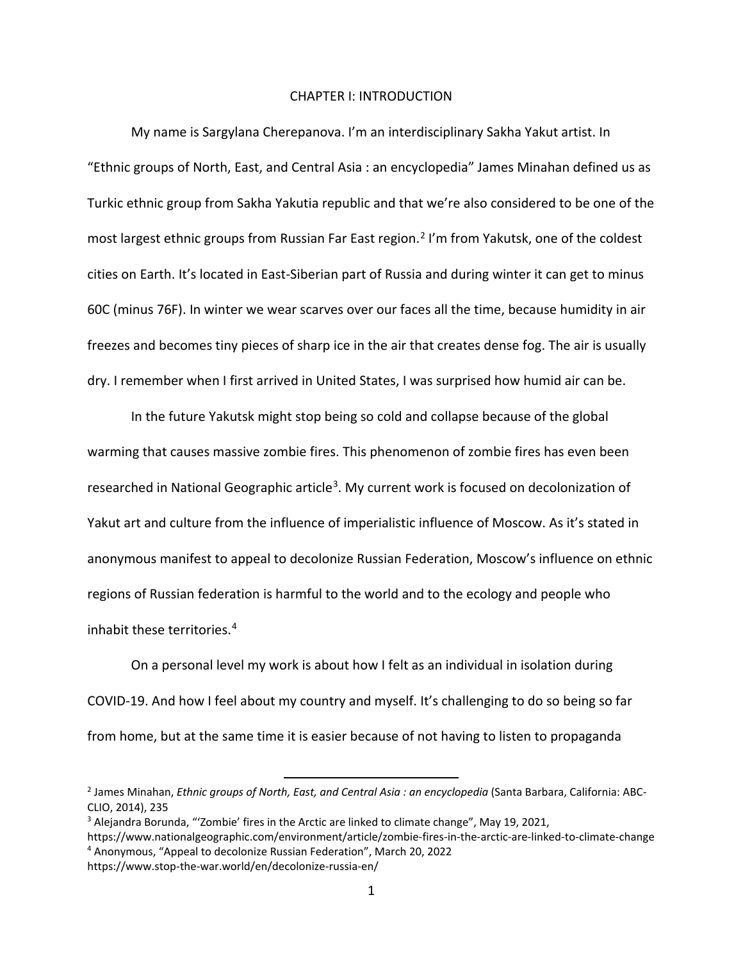### CHAPTER I: INTRODUCTION

<span id="page-8-0"></span>My name is Sargylana Cherepanova. I'm an interdisciplinary Sakha Yakut artist. In "Ethnic groups of North, East, and Central Asia : an encyclopedia" James Minahan defined us as Turkic ethnic group from Sakha Yakutia republic and that we're also considered to be one of the most largest ethnic groups from Russian Far East region.<sup>2</sup> I'm from Yakutsk, one of the coldest cities on Earth. It's located in East-Siberian part of Russia and during winter it can get to minus 60C (minus 76F). In winter we wear scarves over our faces all the time, because humidity in air freezes and becomes tiny pieces of sharp ice in the air that creates dense fog. The air is usually dry. I remember when I first arrived in United States, I was surprised how humid air can be.

In the future Yakutsk might stop being so cold and collapse because of the global warming that causes massive zombie fires. This phenomenon of zombie fires has even been researched in National Geographic article<sup>3</sup>. My current work is focused on decolonization of Yakut art and culture from the influence of imperialistic influence of Moscow. As it's stated in anonymous manifest to appeal to decolonize Russian Federation, Moscow's influence on ethnic regions of Russian federation is harmful to the world and to the ecology and people who inhabit these territories.[4](#page-8-3)

On a personal level my work is about how I felt as an individual in isolation during COVID-19. And how I feel about my country and myself. It's challenging to do so being so far from home, but at the same time it is easier because of not having to listen to propaganda

<span id="page-8-1"></span><sup>2</sup> James Minahan, *Ethnic groups of North, East, and Central Asia : an encyclopedia* (Santa Barbara, California: ABC-CLIO, 2014), 235

<span id="page-8-2"></span><sup>&</sup>lt;sup>3</sup> Alejandra Borunda, "'Zombie' fires in the Arctic are linked to climate change", May 19, 2021,

<span id="page-8-3"></span>https://www.nationalgeographic.com/environment/article/zombie-fires-in-the-arctic-are-linked-to-climate-change <sup>4</sup> Anonymous, "Appeal to decolonize Russian Federation", March 20, 2022

https://www.stop-the-war.world/en/decolonize-russia-en/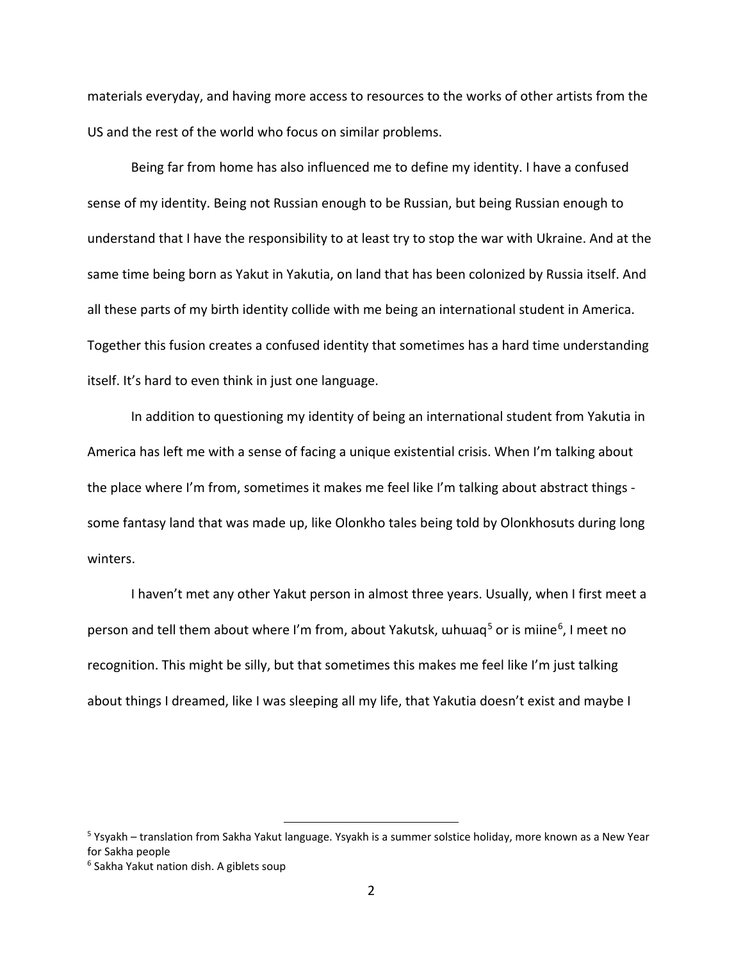materials everyday, and having more access to resources to the works of other artists from the US and the rest of the world who focus on similar problems.

Being far from home has also influenced me to define my identity. I have a confused sense of my identity. Being not Russian enough to be Russian, but being Russian enough to understand that I have the responsibility to at least try to stop the war with Ukraine. And at the same time being born as Yakut in Yakutia, on land that has been colonized by Russia itself. And all these parts of my birth identity collide with me being an international student in America. Together this fusion creates a confused identity that sometimes has a hard time understanding itself. It's hard to even think in just one language.

In addition to questioning my identity of being an international student from Yakutia in America has left me with a sense of facing a unique existential crisis. When I'm talking about the place where I'm from, sometimes it makes me feel like I'm talking about abstract things some fantasy land that was made up, like Olonkho tales being told by Olonkhosuts during long winters.

I haven't met any other Yakut person in almost three years. Usually, when I first meet a person and tell them about where I'm from, about Yakutsk, whwaq<sup>[5](#page-9-0)</sup> or is miine<sup>6</sup>, I meet no recognition. This might be silly, but that sometimes this makes me feel like I'm just talking about things I dreamed, like I was sleeping all my life, that Yakutia doesn't exist and maybe I

<span id="page-9-0"></span><sup>5</sup> Ysyakh – translation from Sakha Yakut language. Ysyakh is a summer solstice holiday, more known as a New Year for Sakha people

<span id="page-9-1"></span><sup>&</sup>lt;sup>6</sup> Sakha Yakut nation dish. A giblets soup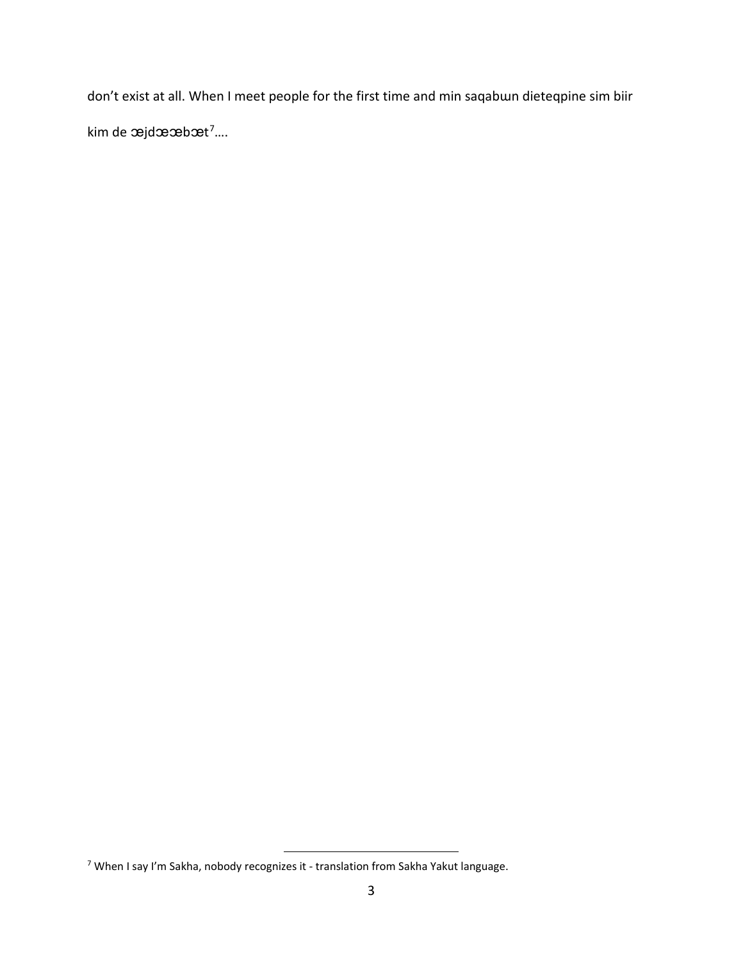don't exist at all. When I meet people for the first time and min saqabun dieteqpine sim biir kim de æjdææbæt<sup>7</sup>....

<span id="page-10-0"></span><sup>7</sup> When I say I'm Sakha, nobody recognizes it - translation from Sakha Yakut language.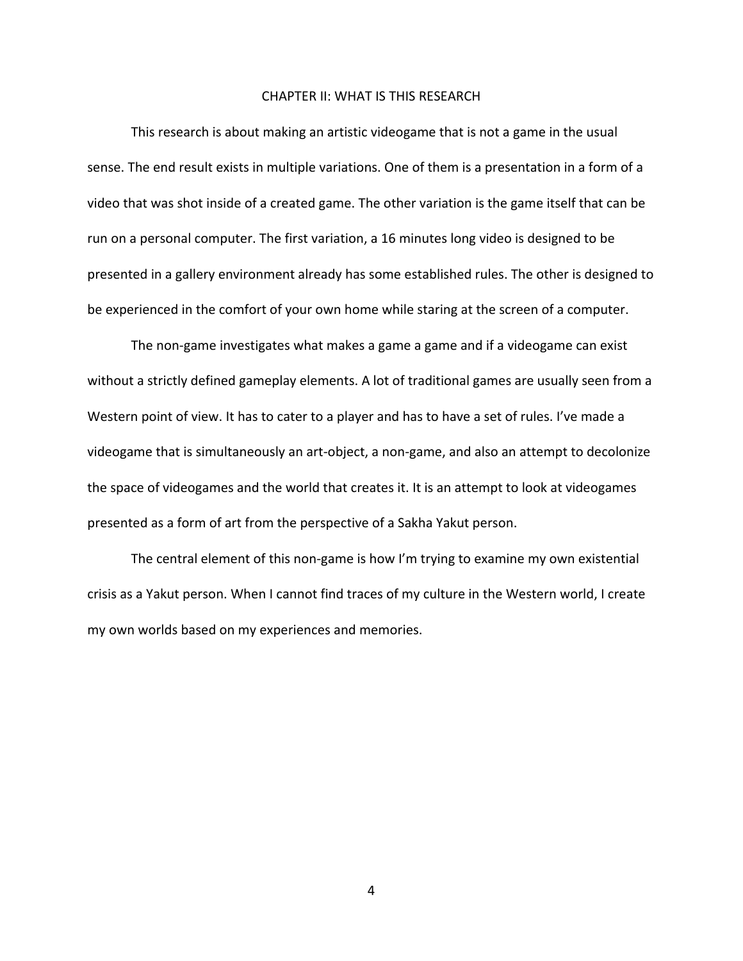### CHAPTER II: WHAT IS THIS RESEARCH

<span id="page-11-0"></span>This research is about making an artistic videogame that is not a game in the usual sense. The end result exists in multiple variations. One of them is a presentation in a form of a video that was shot inside of a created game. The other variation is the game itself that can be run on a personal computer. The first variation, a 16 minutes long video is designed to be presented in a gallery environment already has some established rules. The other is designed to be experienced in the comfort of your own home while staring at the screen of a computer.

The non-game investigates what makes a game a game and if a videogame can exist without a strictly defined gameplay elements. A lot of traditional games are usually seen from a Western point of view. It has to cater to a player and has to have a set of rules. I've made a videogame that is simultaneously an art-object, a non-game, and also an attempt to decolonize the space of videogames and the world that creates it. It is an attempt to look at videogames presented as a form of art from the perspective of a Sakha Yakut person.

The central element of this non-game is how I'm trying to examine my own existential crisis as a Yakut person. When I cannot find traces of my culture in the Western world, I create my own worlds based on my experiences and memories.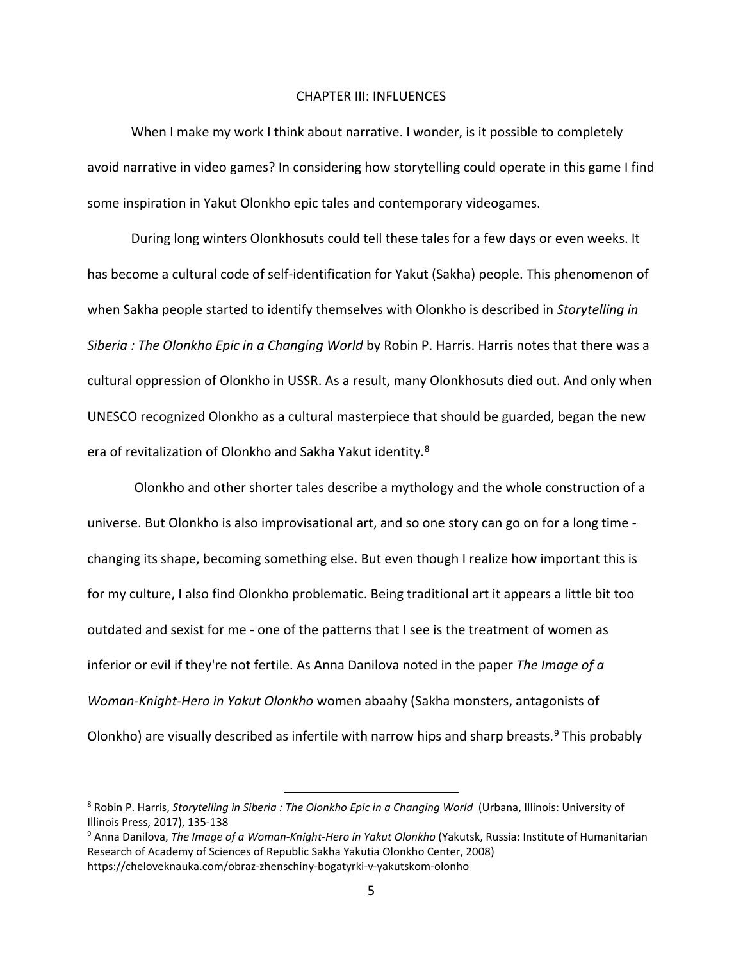#### CHAPTER III: INFLUENCES

<span id="page-12-0"></span>When I make my work I think about narrative. I wonder, is it possible to completely avoid narrative in video games? In considering how storytelling could operate in this game I find some inspiration in Yakut Olonkho epic tales and contemporary videogames.

During long winters Olonkhosuts could tell these tales for a few days or even weeks. It has become a cultural code of self-identification for Yakut (Sakha) people. This phenomenon of when Sakha people started to identify themselves with Olonkho is described in *Storytelling in Siberia : The Olonkho Epic in a Changing World* by Robin P. Harris. Harris notes that there was a cultural oppression of Olonkho in USSR. As a result, many Olonkhosuts died out. And only when UNESCO recognized Olonkho as a cultural masterpiece that should be guarded, began the new era of revitalization of Olonkho and Sakha Yakut identity.<sup>[8](#page-12-1)</sup>

Olonkho and other shorter tales describe a mythology and the whole construction of a universe. But Olonkho is also improvisational art, and so one story can go on for a long time changing its shape, becoming something else. But even though I realize how important this is for my culture, I also find Olonkho problematic. Being traditional art it appears a little bit too outdated and sexist for me - one of the patterns that I see is the treatment of women as inferior or evil if they're not fertile. As Anna Danilova noted in the paper *The Image of a Woman-Knight-Hero in Yakut Olonkho* women abaahy (Sakha monsters, antagonists of Olonkho) are visually described as infertile with narrow hips and sharp breasts.<sup>[9](#page-12-2)</sup> This probably

<span id="page-12-1"></span><sup>8</sup> Robin P. Harris, *Storytelling in Siberia : The Olonkho Epic in a Changing World* (Urbana, Illinois: University of Illinois Press, 2017), 135-138

<span id="page-12-2"></span><sup>9</sup> Anna Danilova, *The Image of a Woman-Knight-Hero in Yakut Olonkho* (Yakutsk, Russia: Institute of Humanitarian Research of Academy of Sciences of Republic Sakha Yakutia Olonkho Center, 2008) https://cheloveknauka.com/obraz-zhenschiny-bogatyrki-v-yakutskom-olonho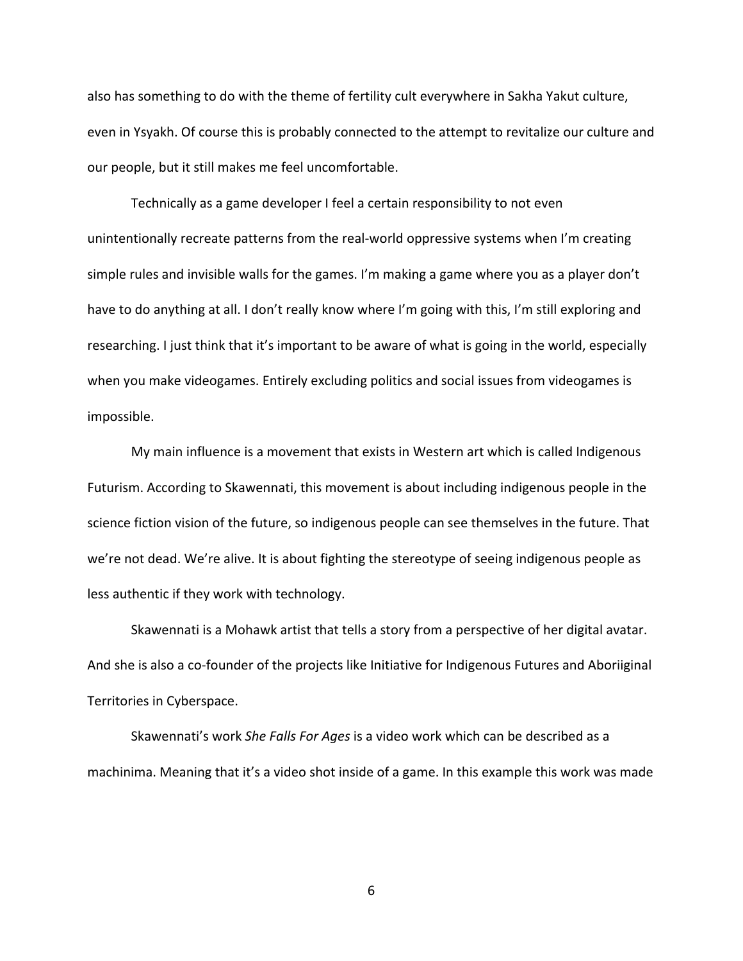also has something to do with the theme of fertility cult everywhere in Sakha Yakut culture, even in Ysyakh. Of course this is probably connected to the attempt to revitalize our culture and our people, but it still makes me feel uncomfortable.

Technically as a game developer I feel a certain responsibility to not even unintentionally recreate patterns from the real-world oppressive systems when I'm creating simple rules and invisible walls for the games. I'm making a game where you as a player don't have to do anything at all. I don't really know where I'm going with this, I'm still exploring and researching. I just think that it's important to be aware of what is going in the world, especially when you make videogames. Entirely excluding politics and social issues from videogames is impossible.

My main influence is a movement that exists in Western art which is called Indigenous Futurism. According to Skawennati, this movement is about including indigenous people in the science fiction vision of the future, so indigenous people can see themselves in the future. That we're not dead. We're alive. It is about fighting the stereotype of seeing indigenous people as less authentic if they work with technology.

Skawennati is a Mohawk artist that tells a story from a perspective of her digital avatar. And she is also a co-founder of the projects like Initiative for Indigenous Futures and Aboriiginal Territories in Cyberspace.

Skawennati's work *She Falls For Ages* is a video work which can be described as a machinima. Meaning that it's a video shot inside of a game. In this example this work was made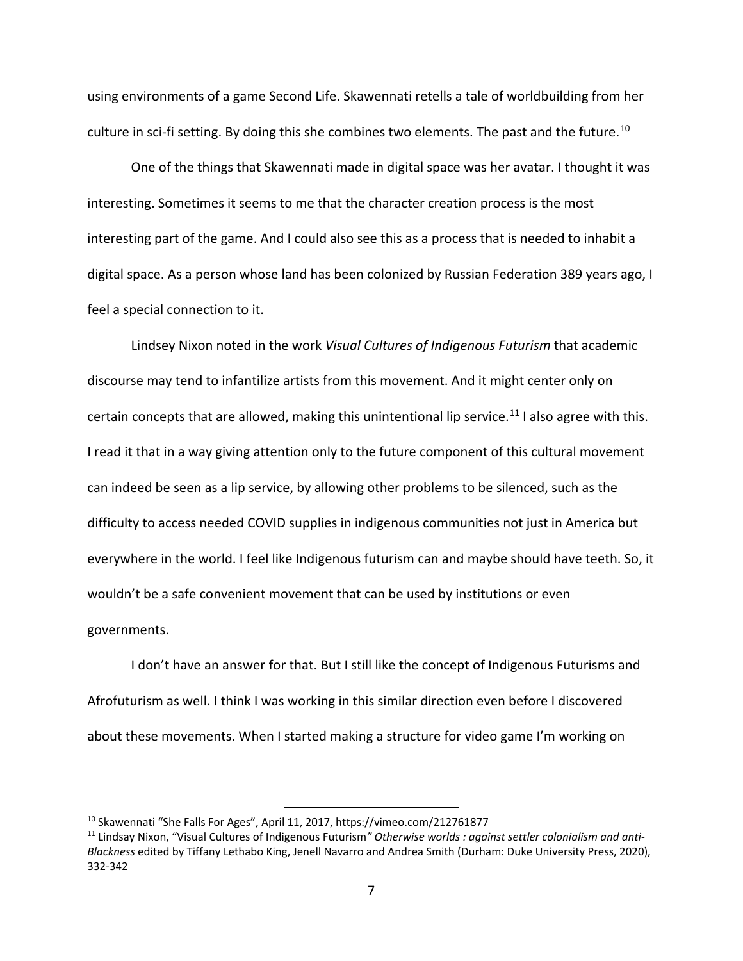using environments of a game Second Life. Skawennati retells a tale of worldbuilding from her culture in sci-fi setting. By doing this she combines two elements. The past and the future.<sup>[10](#page-14-0)</sup>

One of the things that Skawennati made in digital space was her avatar. I thought it was interesting. Sometimes it seems to me that the character creation process is the most interesting part of the game. And I could also see this as a process that is needed to inhabit a digital space. As a person whose land has been colonized by Russian Federation 389 years ago, I feel a special connection to it.

Lindsey Nixon noted in the work *Visual Cultures of Indigenous Futurism* that academic discourse may tend to infantilize artists from this movement. And it might center only on certain concepts that are allowed, making this unintentional lip service.<sup>[11](#page-14-1)</sup> I also agree with this. I read it that in a way giving attention only to the future component of this cultural movement can indeed be seen as a lip service, by allowing other problems to be silenced, such as the difficulty to access needed COVID supplies in indigenous communities not just in America but everywhere in the world. I feel like Indigenous futurism can and maybe should have teeth. So, it wouldn't be a safe convenient movement that can be used by institutions or even governments.

I don't have an answer for that. But I still like the concept of Indigenous Futurisms and Afrofuturism as well. I think I was working in this similar direction even before I discovered about these movements. When I started making a structure for video game I'm working on

<span id="page-14-0"></span><sup>10</sup> Skawennati "She Falls For Ages", April 11, 2017, https://vimeo.com/212761877

<span id="page-14-1"></span><sup>11</sup> Lindsay Nixon, "Visual Cultures of Indigenous Futurism*" Otherwise worlds : against settler colonialism and anti-Blackness* edited by Tiffany Lethabo King, Jenell Navarro and Andrea Smith (Durham: Duke University Press, 2020), 332-342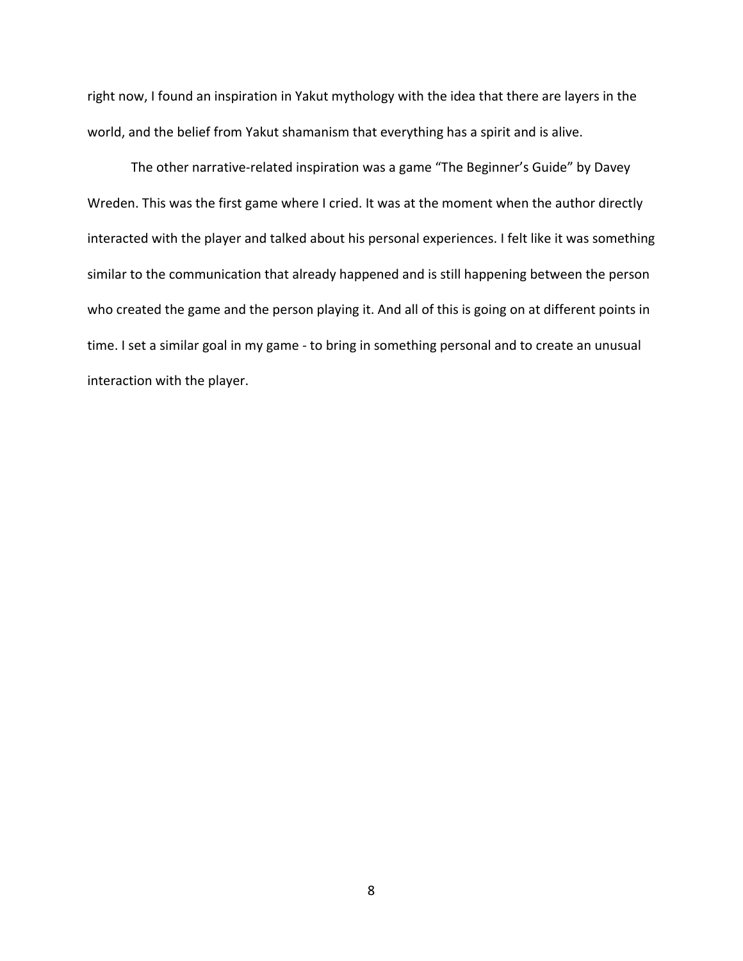right now, I found an inspiration in Yakut mythology with the idea that there are layers in the world, and the belief from Yakut shamanism that everything has a spirit and is alive.

The other narrative-related inspiration was a game "The Beginner's Guide" by Davey Wreden. This was the first game where I cried. It was at the moment when the author directly interacted with the player and talked about his personal experiences. I felt like it was something similar to the communication that already happened and is still happening between the person who created the game and the person playing it. And all of this is going on at different points in time. I set a similar goal in my game - to bring in something personal and to create an unusual interaction with the player.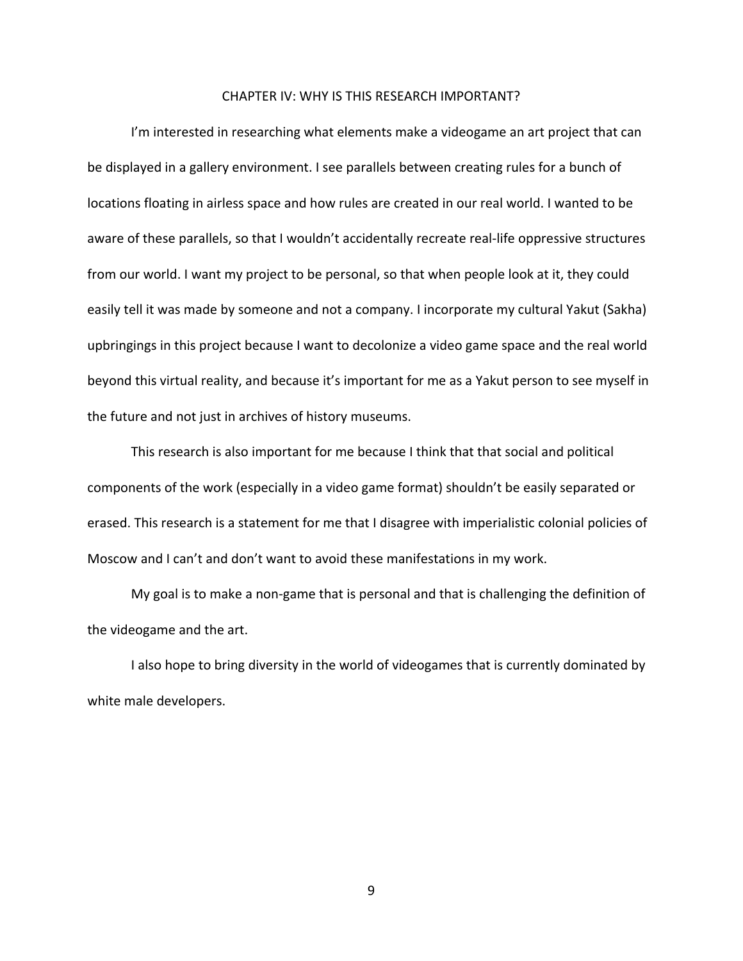### CHAPTER IV: WHY IS THIS RESEARCH IMPORTANT?

<span id="page-16-0"></span>I'm interested in researching what elements make a videogame an art project that can be displayed in a gallery environment. I see parallels between creating rules for a bunch of locations floating in airless space and how rules are created in our real world. I wanted to be aware of these parallels, so that I wouldn't accidentally recreate real-life oppressive structures from our world. I want my project to be personal, so that when people look at it, they could easily tell it was made by someone and not a company. I incorporate my cultural Yakut (Sakha) upbringings in this project because I want to decolonize a video game space and the real world beyond this virtual reality, and because it's important for me as a Yakut person to see myself in the future and not just in archives of history museums.

This research is also important for me because I think that that social and political components of the work (especially in a video game format) shouldn't be easily separated or erased. This research is a statement for me that I disagree with imperialistic colonial policies of Moscow and I can't and don't want to avoid these manifestations in my work.

My goal is to make a non-game that is personal and that is challenging the definition of the videogame and the art.

I also hope to bring diversity in the world of videogames that is currently dominated by white male developers.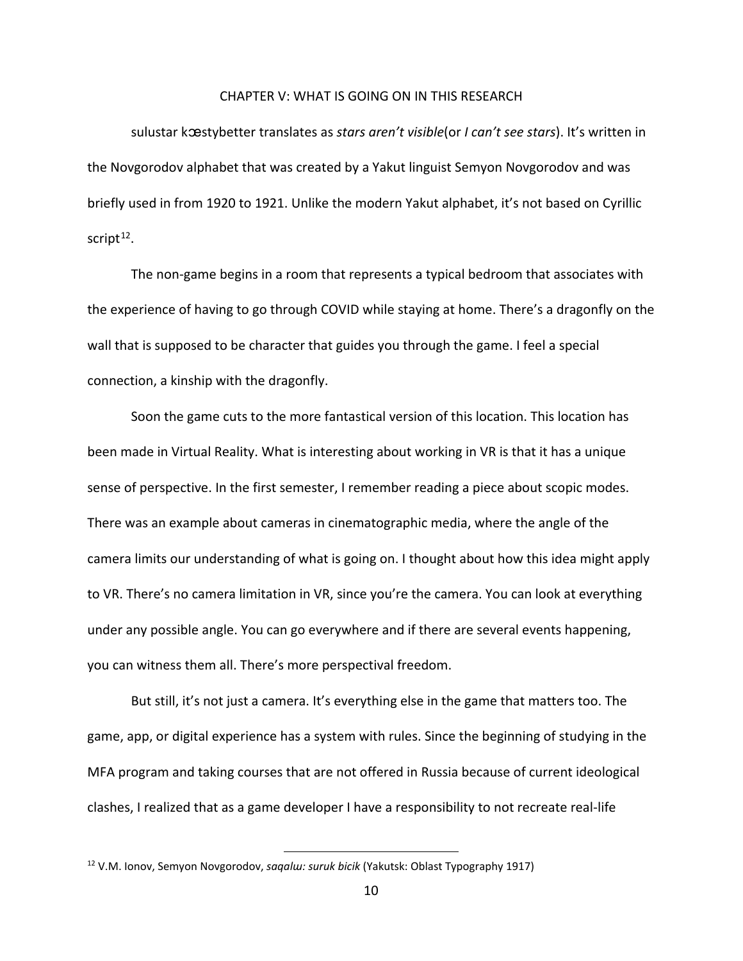### CHAPTER V: WHAT IS GOING ON IN THIS RESEARCH

<span id="page-17-0"></span>sulustar kꭢstybetter translates as *stars aren't visible*(or *I can't see stars*). It's written in the Novgorodov alphabet that was created by a Yakut linguist Semyon Novgorodov and was briefly used in from 1920 to 1921. Unlike the modern Yakut alphabet, it's not based on Cyrillic script $12$ .

The non-game begins in a room that represents a typical bedroom that associates with the experience of having to go through COVID while staying at home. There's a dragonfly on the wall that is supposed to be character that guides you through the game. I feel a special connection, a kinship with the dragonfly.

Soon the game cuts to the more fantastical version of this location. This location has been made in Virtual Reality. What is interesting about working in VR is that it has a unique sense of perspective. In the first semester, I remember reading a piece about scopic modes. There was an example about cameras in cinematographic media, where the angle of the camera limits our understanding of what is going on. I thought about how this idea might apply to VR. There's no camera limitation in VR, since you're the camera. You can look at everything under any possible angle. You can go everywhere and if there are several events happening, you can witness them all. There's more perspectival freedom.

But still, it's not just a camera. It's everything else in the game that matters too. The game, app, or digital experience has a system with rules. Since the beginning of studying in the MFA program and taking courses that are not offered in Russia because of current ideological clashes, I realized that as a game developer I have a responsibility to not recreate real-life

<span id="page-17-1"></span><sup>12</sup> V.M. Ionov, Semyon Novgorodov, *saqalɯ: suruk bicik* (Yakutsk: Oblast Typography 1917)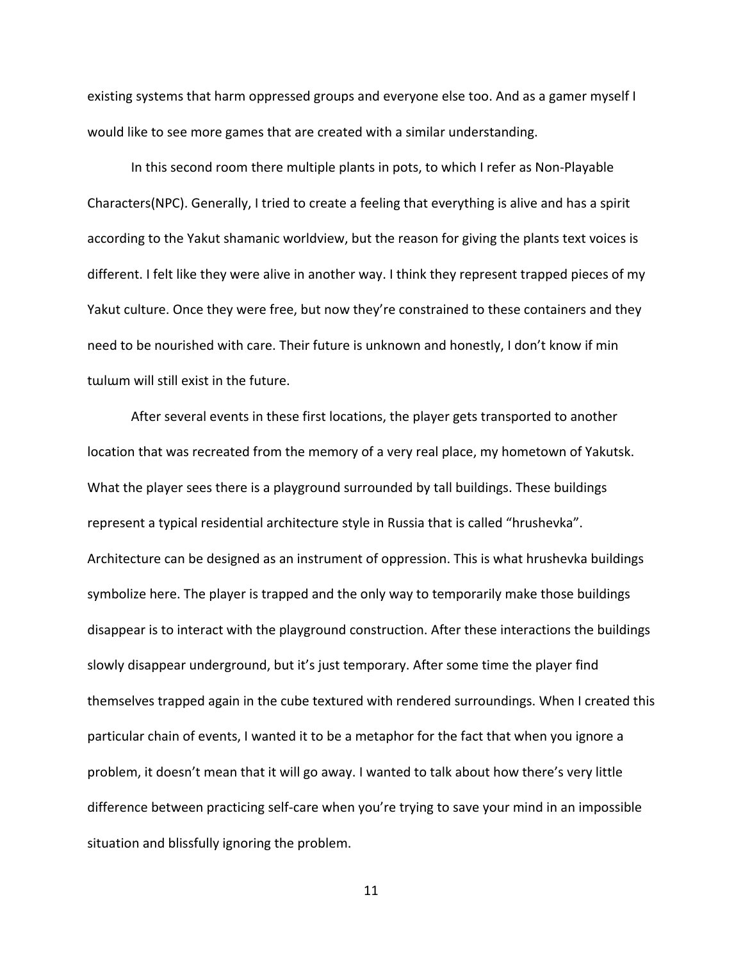existing systems that harm oppressed groups and everyone else too. And as a gamer myself I would like to see more games that are created with a similar understanding.

In this second room there multiple plants in pots, to which I refer as Non-Playable Characters(NPC). Generally, I tried to create a feeling that everything is alive and has a spirit according to the Yakut shamanic worldview, but the reason for giving the plants text voices is different. I felt like they were alive in another way. I think they represent trapped pieces of my Yakut culture. Once they were free, but now they're constrained to these containers and they need to be nourished with care. Their future is unknown and honestly, I don't know if min tɯlɯm will still exist in the future.

After several events in these first locations, the player gets transported to another location that was recreated from the memory of a very real place, my hometown of Yakutsk. What the player sees there is a playground surrounded by tall buildings. These buildings represent a typical residential architecture style in Russia that is called "hrushevka". Architecture can be designed as an instrument of oppression. This is what hrushevka buildings symbolize here. The player is trapped and the only way to temporarily make those buildings disappear is to interact with the playground construction. After these interactions the buildings slowly disappear underground, but it's just temporary. After some time the player find themselves trapped again in the cube textured with rendered surroundings. When I created this particular chain of events, I wanted it to be a metaphor for the fact that when you ignore a problem, it doesn't mean that it will go away. I wanted to talk about how there's very little difference between practicing self-care when you're trying to save your mind in an impossible situation and blissfully ignoring the problem.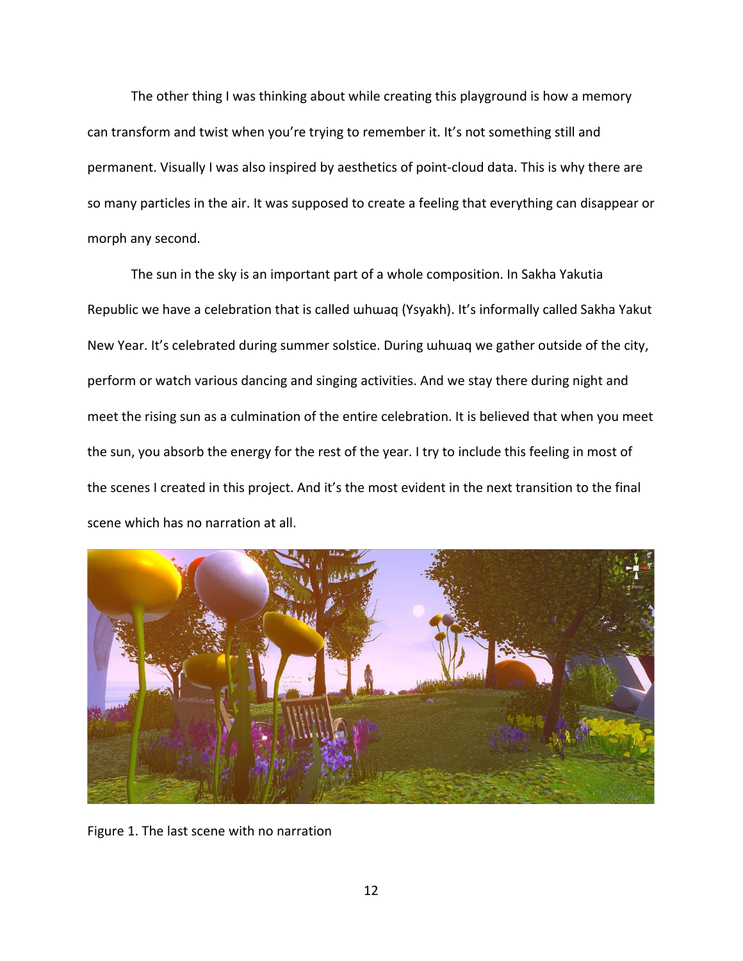The other thing I was thinking about while creating this playground is how a memory can transform and twist when you're trying to remember it. It's not something still and permanent. Visually I was also inspired by aesthetics of point-cloud data. This is why there are so many particles in the air. It was supposed to create a feeling that everything can disappear or morph any second.

The sun in the sky is an important part of a whole composition. In Sakha Yakutia Republic we have a celebration that is called ɯhɯаq (Ysyakh). It's informally called Sakha Yakut New Year. It's celebrated during summer solstice. During whwaq we gather outside of the city, perform or watch various dancing and singing activities. And we stay there during night and meet the rising sun as a culmination of the entire celebration. It is believed that when you meet the sun, you absorb the energy for the rest of the year. I try to include this feeling in most of the scenes I created in this project. And it's the most evident in the next transition to the final scene which has no narration at all.



Figure 1. The last scene with no narration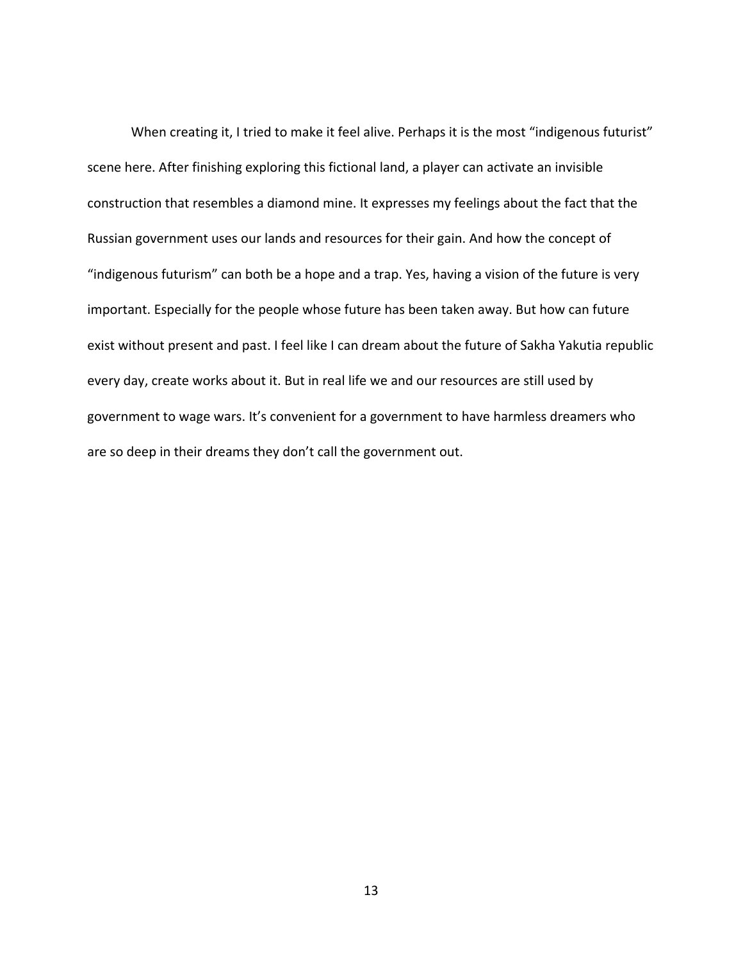When creating it, I tried to make it feel alive. Perhaps it is the most "indigenous futurist" scene here. After finishing exploring this fictional land, a player can activate an invisible construction that resembles a diamond mine. It expresses my feelings about the fact that the Russian government uses our lands and resources for their gain. And how the concept of "indigenous futurism" can both be a hope and a trap. Yes, having a vision of the future is very important. Especially for the people whose future has been taken away. But how can future exist without present and past. I feel like I can dream about the future of Sakha Yakutia republic every day, create works about it. But in real life we and our resources are still used by government to wage wars. It's convenient for a government to have harmless dreamers who are so deep in their dreams they don't call the government out.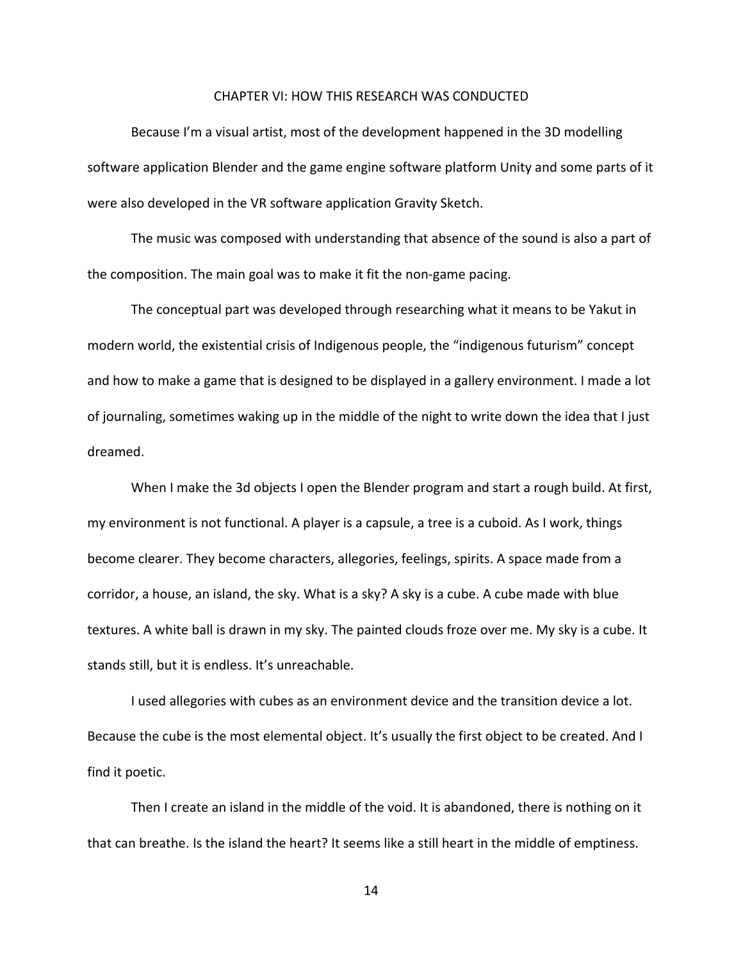#### CHAPTER VI: HOW THIS RESEARCH WAS CONDUCTED

<span id="page-21-0"></span>Because I'm a visual artist, most of the development happened in the 3D modelling software application Blender and the game engine software platform Unity and some parts of it were also developed in the VR software application Gravity Sketch.

The music was composed with understanding that absence of the sound is also a part of the composition. The main goal was to make it fit the non-game pacing.

The conceptual part was developed through researching what it means to be Yakut in modern world, the existential crisis of Indigenous people, the "indigenous futurism" concept and how to make a game that is designed to be displayed in a gallery environment. I made a lot of journaling, sometimes waking up in the middle of the night to write down the idea that I just dreamed.

When I make the 3d objects I open the Blender program and start a rough build. At first, my environment is not functional. A player is a capsule, a tree is a cuboid. As I work, things become clearer. They become characters, allegories, feelings, spirits. A space made from a corridor, a house, an island, the sky. What is a sky? A sky is a cube. A cube made with blue textures. A white ball is drawn in my sky. The painted clouds froze over me. My sky is a cube. It stands still, but it is endless. It's unreachable.

I used allegories with cubes as an environment device and the transition device a lot. Because the cube is the most elemental object. It's usually the first object to be created. And I find it poetic.

Then I create an island in the middle of the void. It is abandoned, there is nothing on it that can breathe. Is the island the heart? It seems like a still heart in the middle of emptiness.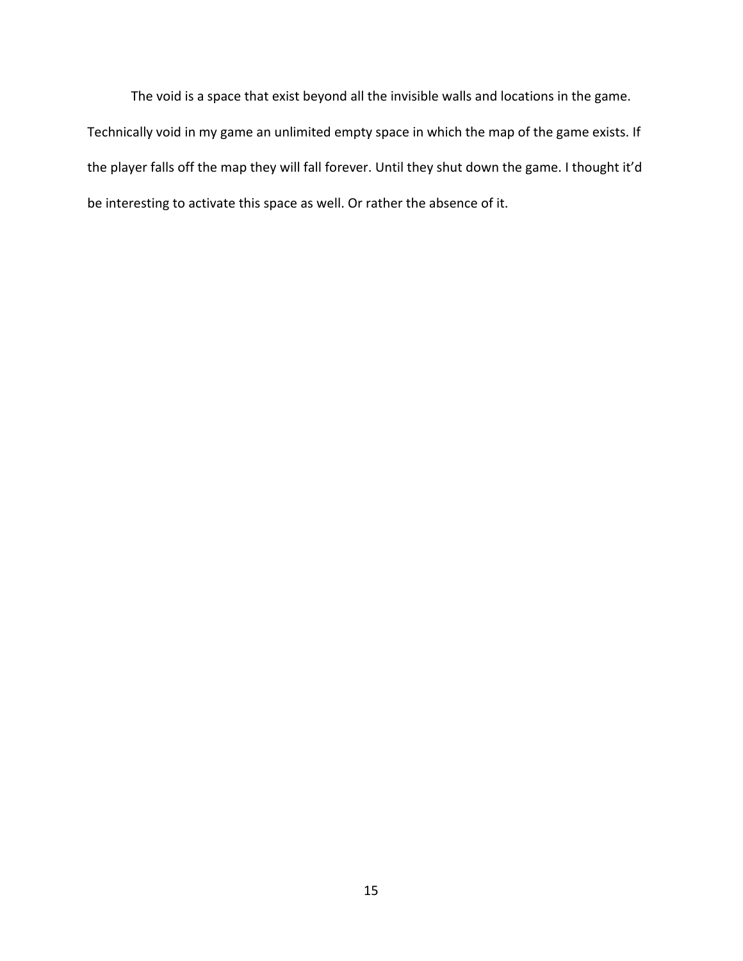The void is a space that exist beyond all the invisible walls and locations in the game. Technically void in my game an unlimited empty space in which the map of the game exists. If the player falls off the map they will fall forever. Until they shut down the game. I thought it'd be interesting to activate this space as well. Or rather the absence of it.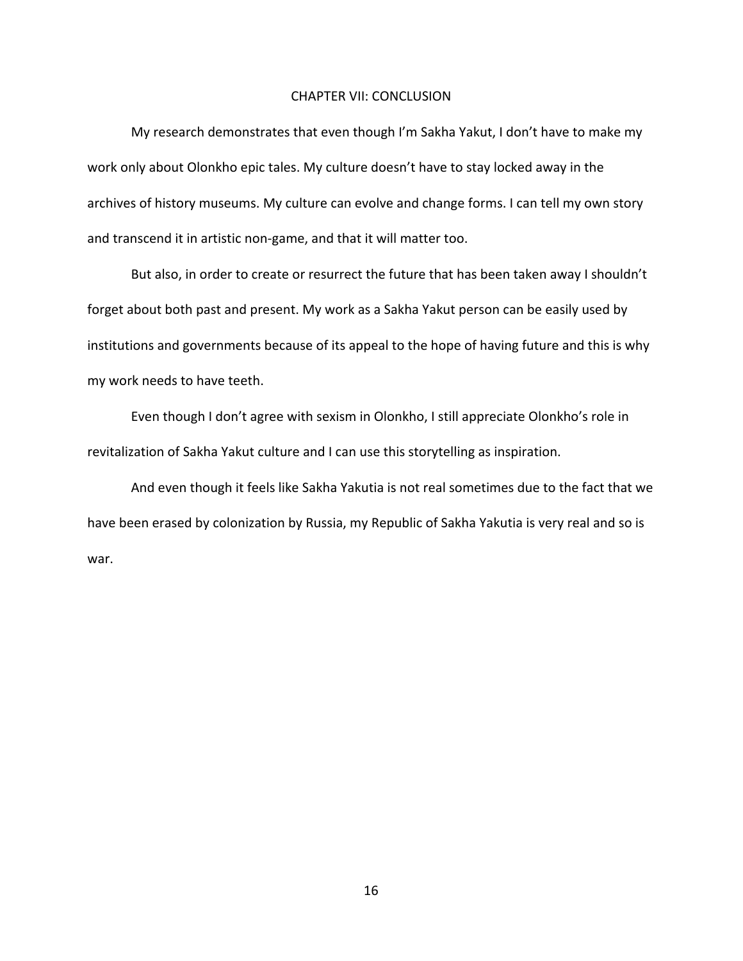### CHAPTER VII: CONCLUSION

<span id="page-23-0"></span>My research demonstrates that even though I'm Sakha Yakut, I don't have to make my work only about Olonkho epic tales. My culture doesn't have to stay locked away in the archives of history museums. My culture can evolve and change forms. I can tell my own story and transcend it in artistic non-game, and that it will matter too.

But also, in order to create or resurrect the future that has been taken away I shouldn't forget about both past and present. My work as a Sakha Yakut person can be easily used by institutions and governments because of its appeal to the hope of having future and this is why my work needs to have teeth.

Even though I don't agree with sexism in Olonkho, I still appreciate Olonkho's role in revitalization of Sakha Yakut culture and I can use this storytelling as inspiration.

And even though it feels like Sakha Yakutia is not real sometimes due to the fact that we have been erased by colonization by Russia, my Republic of Sakha Yakutia is very real and so is war.